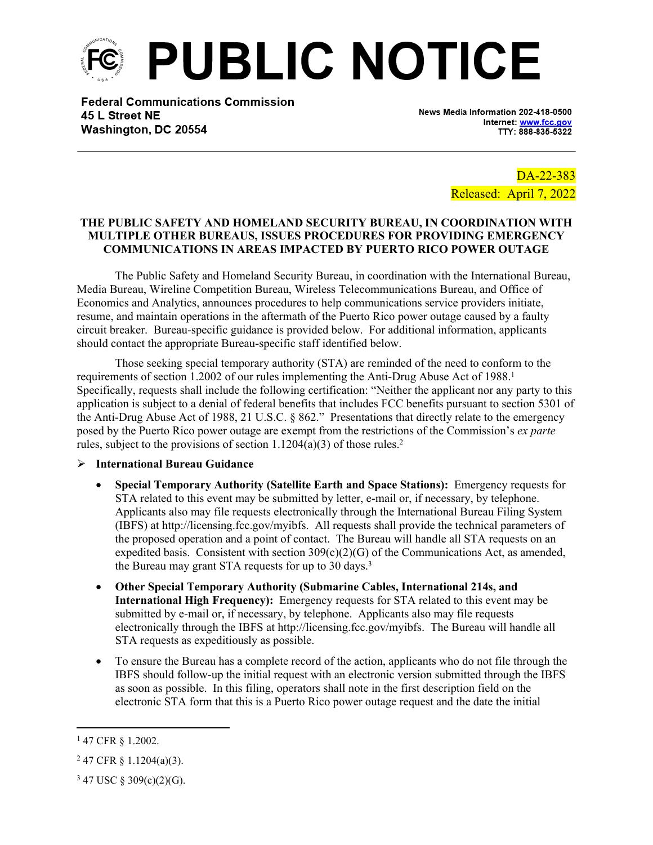

**Federal Communications Commission** 45 L Street NE Washington, DC 20554

News Media Information 202-418-0500 Internet: www.fcc.gov TTY: 888-835-5322

> DA-22-383 Released: April 7, 2022

#### **THE PUBLIC SAFETY AND HOMELAND SECURITY BUREAU, IN COORDINATION WITH MULTIPLE OTHER BUREAUS, ISSUES PROCEDURES FOR PROVIDING EMERGENCY COMMUNICATIONS IN AREAS IMPACTED BY PUERTO RICO POWER OUTAGE**

The Public Safety and Homeland Security Bureau, in coordination with the International Bureau, Media Bureau, Wireline Competition Bureau, Wireless Telecommunications Bureau, and Office of Economics and Analytics, announces procedures to help communications service providers initiate, resume, and maintain operations in the aftermath of the Puerto Rico power outage caused by a faulty circuit breaker. Bureau-specific guidance is provided below. For additional information, applicants should contact the appropriate Bureau-specific staff identified below.

Those seeking special temporary authority (STA) are reminded of the need to conform to the requirements of section 1.2002 of our rules implementing the Anti-Drug Abuse Act of 1988.<sup>1</sup> Specifically, requests shall include the following certification: "Neither the applicant nor any party to this application is subject to a denial of federal benefits that includes FCC benefits pursuant to section 5301 of the Anti-Drug Abuse Act of 1988, 21 U.S.C. § 862." Presentations that directly relate to the emergency posed by the Puerto Rico power outage are exempt from the restrictions of the Commission's *ex parte* rules, subject to the provisions of section  $1.1204(a)(3)$  of those rules.<sup>2</sup>

#### **International Bureau Guidance**

- **Special Temporary Authority (Satellite Earth and Space Stations):** Emergency requests for STA related to this event may be submitted by letter, e-mail or, if necessary, by telephone. Applicants also may file requests electronically through the International Bureau Filing System (IBFS) at http://licensing.fcc.gov/myibfs. All requests shall provide the technical parameters of the proposed operation and a point of contact. The Bureau will handle all STA requests on an expedited basis. Consistent with section  $309(c)(2)(G)$  of the Communications Act, as amended, the Bureau may grant STA requests for up to 30 days.<sup>3</sup>
- **Other Special Temporary Authority (Submarine Cables, International 214s, and International High Frequency):** Emergency requests for STA related to this event may be submitted by e-mail or, if necessary, by telephone. Applicants also may file requests electronically through the IBFS at http://licensing.fcc.gov/myibfs. The Bureau will handle all STA requests as expeditiously as possible.
- To ensure the Bureau has a complete record of the action, applicants who do not file through the IBFS should follow-up the initial request with an electronic version submitted through the IBFS as soon as possible. In this filing, operators shall note in the first description field on the electronic STA form that this is a Puerto Rico power outage request and the date the initial

<sup>1</sup> 47 CFR § 1.2002.

 $2$  47 CFR § 1.1204(a)(3).

 $3$  47 USC § 309(c)(2)(G).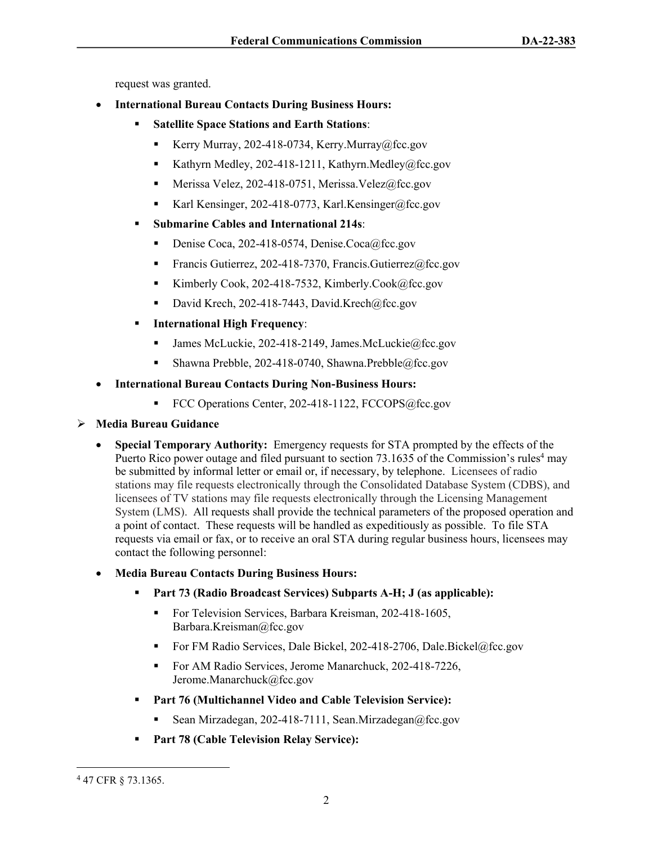request was granted.

- **International Bureau Contacts During Business Hours:** 
	- **Satellite Space Stations and Earth Stations**:
		- Kerry Murray, 202-418-0734, Kerry.Murray@fcc.gov
		- Kathyrn Medley, 202-418-1211, Kathyrn.Medley@fcc.gov
		- Merissa Velez, 202-418-0751, Merissa.Velez@fcc.gov
		- Karl Kensinger, 202-418-0773, Karl Kensinger@fcc.gov
	- **Submarine Cables and International 214s**:
		- Denise Coca, 202-418-0574, Denise.Coca@fcc.gov
		- Francis Gutierrez, 202-418-7370, Francis.Gutierrez@fcc.gov
		- Kimberly Cook, 202-418-7532, Kimberly.Cook@fcc.gov
		- David Krech, 202-418-7443, David.Krech@fcc.gov
	- **International High Frequency**:
		- James McLuckie, 202-418-2149, James.McLuckie@fcc.gov
		- Shawna Prebble, 202-418-0740, Shawna.Prebble@fcc.gov
- **International Bureau Contacts During Non-Business Hours:**
	- FCC Operations Center, 202-418-1122, FCCOPS@fcc.gov

### **Media Bureau Guidance**

- **Special Temporary Authority:** Emergency requests for STA prompted by the effects of the Puerto Rico power outage and filed pursuant to section 73.1635 of the Commission's rules<sup>4</sup> may be submitted by informal letter or email or, if necessary, by telephone. Licensees of radio stations may file requests electronically through the Consolidated Database System (CDBS), and licensees of TV stations may file requests electronically through the Licensing Management System (LMS). All requests shall provide the technical parameters of the proposed operation and a point of contact. These requests will be handled as expeditiously as possible. To file STA requests via email or fax, or to receive an oral STA during regular business hours, licensees may contact the following personnel:
- **Media Bureau Contacts During Business Hours:**
	- **Part 73 (Radio Broadcast Services) Subparts A-H; J (as applicable):**
		- For Television Services, Barbara Kreisman, 202-418-1605, Barbara.Kreisman@fcc.gov
		- For FM Radio Services, Dale Bickel, 202-418-2706, Dale.Bickel@fcc.gov
		- For AM Radio Services, Jerome Manarchuck, 202-418-7226, Jerome.Manarchuck@fcc.gov
	- **Part 76 (Multichannel Video and Cable Television Service):** 
		- Sean Mirzadegan, 202-418-7111, Sean.Mirzadegan@fcc.gov
	- **Part 78 (Cable Television Relay Service):**

<sup>4</sup> 47 CFR § 73.1365.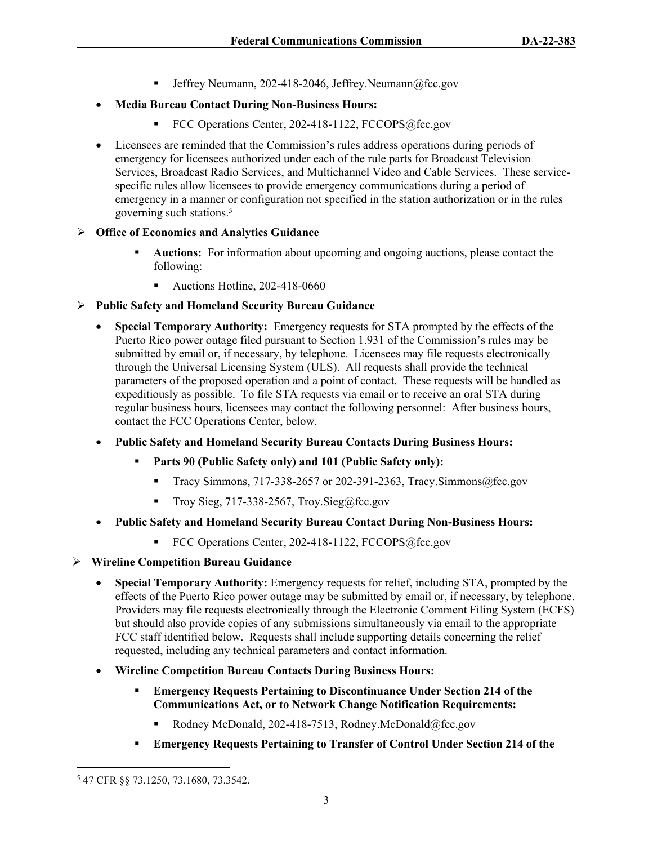**Jeffrey Neumann, 202-418-2046, Jeffrey.Neumann** $@$ fcc.gov

# **Media Bureau Contact During Non-Business Hours:**

- FCC Operations Center, 202-418-1122, FCCOPS@fcc.gov
- Licensees are reminded that the Commission's rules address operations during periods of emergency for licensees authorized under each of the rule parts for Broadcast Television Services, Broadcast Radio Services, and Multichannel Video and Cable Services. These servicespecific rules allow licensees to provide emergency communications during a period of emergency in a manner or configuration not specified in the station authorization or in the rules governing such stations.<sup>5</sup>

# **Office of Economics and Analytics Guidance**

- **Auctions:** For information about upcoming and ongoing auctions, please contact the following:
	- Auctions Hotline, 202-418-0660

# **Public Safety and Homeland Security Bureau Guidance**

- **Special Temporary Authority:** Emergency requests for STA prompted by the effects of the Puerto Rico power outage filed pursuant to Section 1.931 of the Commission's rules may be submitted by email or, if necessary, by telephone. Licensees may file requests electronically through the Universal Licensing System (ULS). All requests shall provide the technical parameters of the proposed operation and a point of contact. These requests will be handled as expeditiously as possible. To file STA requests via email or to receive an oral STA during regular business hours, licensees may contact the following personnel: After business hours, contact the FCC Operations Center, below.
- **Public Safety and Homeland Security Bureau Contacts During Business Hours:**
	- **Parts 90 (Public Safety only) and 101 (Public Safety only):** 
		- Tracy Simmons, 717-338-2657 or 202-391-2363, Tracy. Simmons  $@$  fcc.gov
		- Troy Sieg,  $717-338-2567$ , Troy.Sieg@fcc.gov
- **Public Safety and Homeland Security Bureau Contact During Non-Business Hours:**
	- FCC Operations Center, 202-418-1122, FCCOPS@fcc.gov
- **Wireline Competition Bureau Guidance**
	- **Special Temporary Authority:** Emergency requests for relief, including STA, prompted by the effects of the Puerto Rico power outage may be submitted by email or, if necessary, by telephone. Providers may file requests electronically through the Electronic Comment Filing System (ECFS) but should also provide copies of any submissions simultaneously via email to the appropriate FCC staff identified below. Requests shall include supporting details concerning the relief requested, including any technical parameters and contact information.
	- **Wireline Competition Bureau Contacts During Business Hours:**
		- **Emergency Requests Pertaining to Discontinuance Under Section 214 of the Communications Act, or to Network Change Notification Requirements:**
			- Rodney McDonald, 202-418-7513, Rodney.McDonald@fcc.gov
		- **Emergency Requests Pertaining to Transfer of Control Under Section 214 of the**

<sup>5</sup> 47 CFR §§ 73.1250, 73.1680, 73.3542.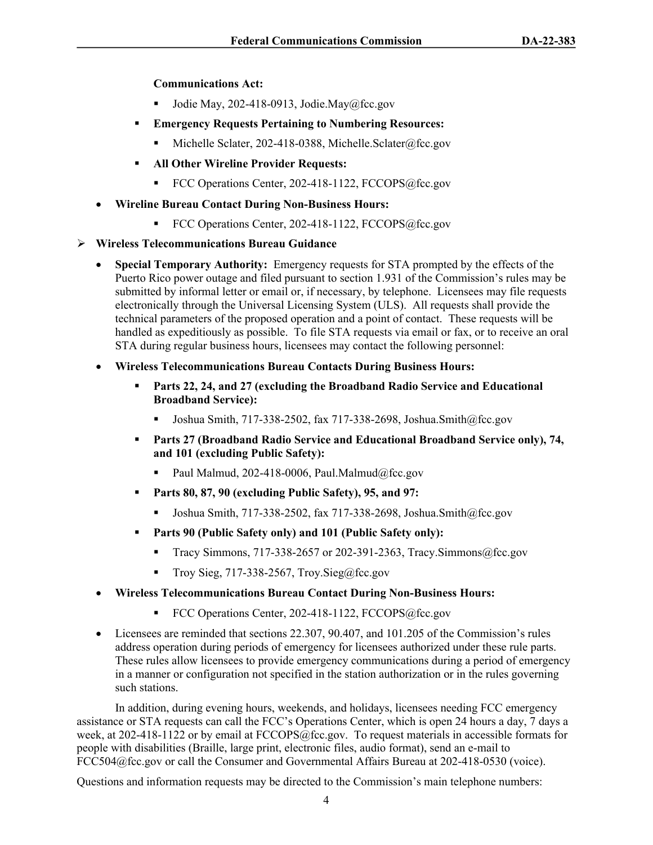**Communications Act:**

- Jodie May, 202-418-0913, Jodie.May@fcc.gov
- **Emergency Requests Pertaining to Numbering Resources:** 
	- Michelle Sclater, 202-418-0388, Michelle.Sclater@fcc.gov
- **All Other Wireline Provider Requests:** 
	- FCC Operations Center, 202-418-1122, FCCOPS@fcc.gov
- **Wireline Bureau Contact During Non-Business Hours:**
	- FCC Operations Center, 202-418-1122, FCCOPS@fcc.gov

#### **Wireless Telecommunications Bureau Guidance**

- **Special Temporary Authority:** Emergency requests for STA prompted by the effects of the Puerto Rico power outage and filed pursuant to section 1.931 of the Commission's rules may be submitted by informal letter or email or, if necessary, by telephone. Licensees may file requests electronically through the Universal Licensing System (ULS). All requests shall provide the technical parameters of the proposed operation and a point of contact. These requests will be handled as expeditiously as possible. To file STA requests via email or fax, or to receive an oral STA during regular business hours, licensees may contact the following personnel:
- **Wireless Telecommunications Bureau Contacts During Business Hours:**
	- **Parts 22, 24, and 27 (excluding the Broadband Radio Service and Educational Broadband Service):** 
		- Joshua Smith,  $717-338-2502$ , fax  $717-338-2698$ , Joshua.Smith@fcc.gov
	- **Parts 27 (Broadband Radio Service and Educational Broadband Service only), 74, and 101 (excluding Public Safety):** 
		- Paul Malmud, 202-418-0006, Paul.Malmud@fcc.gov
	- **Parts 80, 87, 90 (excluding Public Safety), 95, and 97:** 
		- Joshua Smith, 717-338-2502, fax 717-338-2698, Joshua.Smith@fcc.gov
	- **Parts 90 (Public Safety only) and 101 (Public Safety only):** 
		- Tracy Simmons,  $717-338-2657$  or 202-391-2363, Tracy. Simmons  $@$  fcc.gov
		- Troy Sieg,  $717-338-2567$ , Troy.Sieg@fcc.gov
- **Wireless Telecommunications Bureau Contact During Non-Business Hours:**
	- FCC Operations Center, 202-418-1122, FCCOPS@fcc.gov
- Licensees are reminded that sections 22.307, 90.407, and 101.205 of the Commission's rules address operation during periods of emergency for licensees authorized under these rule parts. These rules allow licensees to provide emergency communications during a period of emergency in a manner or configuration not specified in the station authorization or in the rules governing such stations.

In addition, during evening hours, weekends, and holidays, licensees needing FCC emergency assistance or STA requests can call the FCC's Operations Center, which is open 24 hours a day, 7 days a week, at 202-418-1122 or by email at FCCOPS@fcc.gov. To request materials in accessible formats for people with disabilities (Braille, large print, electronic files, audio format), send an e-mail to FCC504@fcc.gov or call the Consumer and Governmental Affairs Bureau at 202-418-0530 (voice).

Questions and information requests may be directed to the Commission's main telephone numbers: